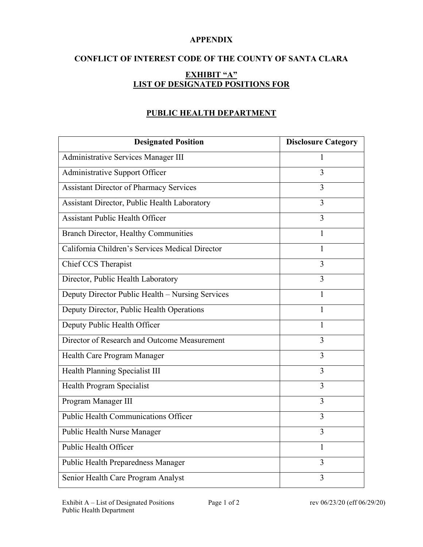## **APPENDIX**

# **CONFLICT OF INTEREST CODE OF THE COUNTY OF SANTA CLARA EXHIBIT "A" LIST OF DESIGNATED POSITIONS FOR**

## **PUBLIC HEALTH DEPARTMENT**

| <b>Designated Position</b>                       | <b>Disclosure Category</b> |
|--------------------------------------------------|----------------------------|
| Administrative Services Manager III              | 1                          |
| Administrative Support Officer                   | 3                          |
| <b>Assistant Director of Pharmacy Services</b>   | 3                          |
| Assistant Director, Public Health Laboratory     | 3                          |
| <b>Assistant Public Health Officer</b>           | 3                          |
| <b>Branch Director, Healthy Communities</b>      | 1                          |
| California Children's Services Medical Director  | 1                          |
| Chief CCS Therapist                              | 3                          |
| Director, Public Health Laboratory               | 3                          |
| Deputy Director Public Health - Nursing Services | 1                          |
| Deputy Director, Public Health Operations        | 1                          |
| Deputy Public Health Officer                     | 1                          |
| Director of Research and Outcome Measurement     | $\overline{3}$             |
| Health Care Program Manager                      | 3                          |
| Health Planning Specialist III                   | $\overline{3}$             |
| Health Program Specialist                        | $\overline{3}$             |
| Program Manager III                              | $\overline{3}$             |
| <b>Public Health Communications Officer</b>      | $\overline{3}$             |
| Public Health Nurse Manager                      | $\overline{3}$             |
| Public Health Officer                            | $\mathbf{1}$               |
| Public Health Preparedness Manager               | $\overline{3}$             |
| Senior Health Care Program Analyst               | 3                          |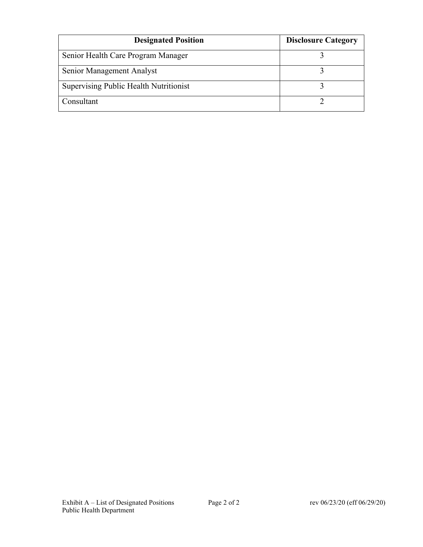| <b>Designated Position</b>             | <b>Disclosure Category</b> |
|----------------------------------------|----------------------------|
| Senior Health Care Program Manager     |                            |
| Senior Management Analyst              |                            |
| Supervising Public Health Nutritionist |                            |
| Consultant                             |                            |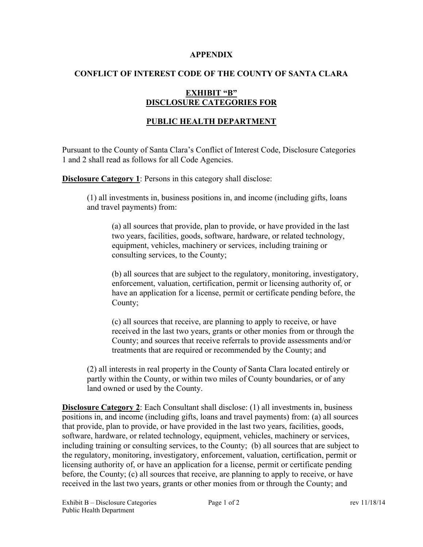#### **APPENDIX**

### **CONFLICT OF INTEREST CODE OF THE COUNTY OF SANTA CLARA**

## **EXHIBIT "B" DISCLOSURE CATEGORIES FOR**

## **PUBLIC HEALTH DEPARTMENT**

Pursuant to the County of Santa Clara's Conflict of Interest Code, Disclosure Categories 1 and 2 shall read as follows for all Code Agencies.

**Disclosure Category 1:** Persons in this category shall disclose:

(1) all investments in, business positions in, and income (including gifts, loans and travel payments) from:

(a) all sources that provide, plan to provide, or have provided in the last two years, facilities, goods, software, hardware, or related technology, equipment, vehicles, machinery or services, including training or consulting services, to the County;

(b) all sources that are subject to the regulatory, monitoring, investigatory, enforcement, valuation, certification, permit or licensing authority of, or have an application for a license, permit or certificate pending before, the County;

(c) all sources that receive, are planning to apply to receive, or have received in the last two years, grants or other monies from or through the County; and sources that receive referrals to provide assessments and/or treatments that are required or recommended by the County; and

(2) all interests in real property in the County of Santa Clara located entirely or partly within the County, or within two miles of County boundaries, or of any land owned or used by the County.

**Disclosure Category 2**: Each Consultant shall disclose: (1) all investments in, business positions in, and income (including gifts, loans and travel payments) from: (a) all sources that provide, plan to provide, or have provided in the last two years, facilities, goods, software, hardware, or related technology, equipment, vehicles, machinery or services, including training or consulting services, to the County; (b) all sources that are subject to the regulatory, monitoring, investigatory, enforcement, valuation, certification, permit or licensing authority of, or have an application for a license, permit or certificate pending before, the County; (c) all sources that receive, are planning to apply to receive, or have received in the last two years, grants or other monies from or through the County; and